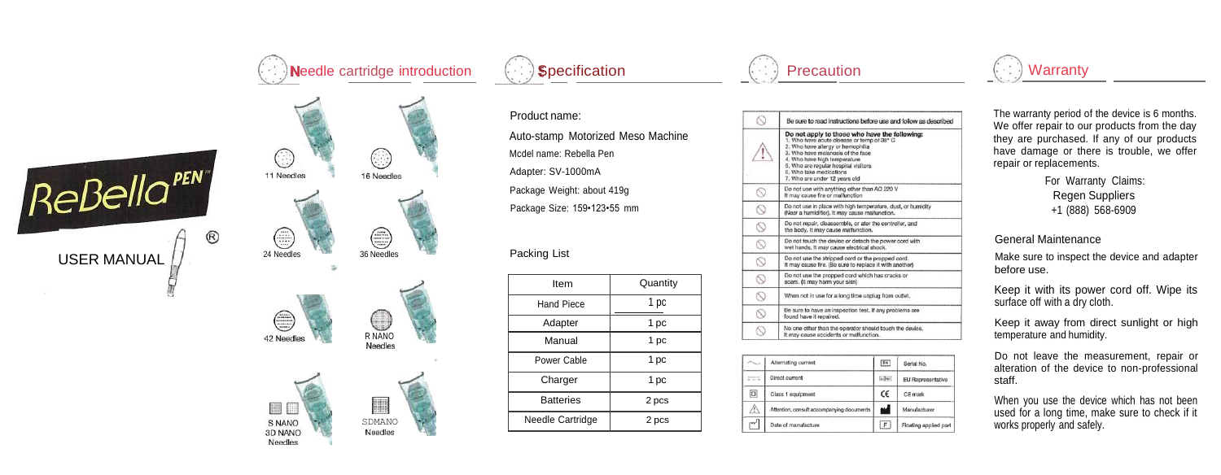



| 42 Needles | R NANO<br>Needles |  |
|------------|-------------------|--|



**Specification** 

Product name: Auto -stamp Motorized Meso Machine Mcdel name: Rebella Pen Adapter: SV -1000mA Package Weight: about 419g Package Size: 159•123•55 mm

## Packing List

| Item              | Quantity |  |
|-------------------|----------|--|
| <b>Hand Piece</b> | 1 pc     |  |
| Adapter           | 1 pc     |  |
| Manual            | 1 pc     |  |
| Power Cable       | 1 pc     |  |
| Charger           | 1 pc     |  |
| <b>Batteries</b>  | 2 pcs    |  |
| Needle Cartridge  | 2 pcs    |  |



|                | Be sure to read instructions before use and follow as described                                                                                                                                                                                                                                             |  |  |  |  |
|----------------|-------------------------------------------------------------------------------------------------------------------------------------------------------------------------------------------------------------------------------------------------------------------------------------------------------------|--|--|--|--|
|                | Do not apply to those who have the following:<br>1. Who have acute disease or temp of 38° C<br>2. Who have allergy or hemophilia<br>3. Who have melanosis of the face.<br>4. Who have high temperature<br>5. Who are regular hospital visitors.<br>6. Who take medications<br>7. Who are under 12 years old |  |  |  |  |
| ∝              | Do not use with anything other than AC 220 V<br>It may cause fire or malfunction                                                                                                                                                                                                                            |  |  |  |  |
| S              | Do not use in place with high temperature, dust, or humidity<br>(Near a humidifier). It may cause malfunction.                                                                                                                                                                                              |  |  |  |  |
| O              | Do not repair, disassemble, or ater the controller, and<br>the body. It may cause malfunction.                                                                                                                                                                                                              |  |  |  |  |
| Q              | Do not touch the device or detach the power cord with<br>wet hands. It may cause electrical shock.                                                                                                                                                                                                          |  |  |  |  |
| Ş              | Do not use the stripped cord or the propped cord.<br>It may cause fire. (Be sure to replace it with another)                                                                                                                                                                                                |  |  |  |  |
| Ó              | Do not use the propped cord which has cracks or<br>scars. (It may harm your skin)                                                                                                                                                                                                                           |  |  |  |  |
| $\circledcirc$ | When not in use for a long time unplug from outlet.                                                                                                                                                                                                                                                         |  |  |  |  |
| Q              | Be sure to have an inspection test. If any problems are<br>found have it repaired.                                                                                                                                                                                                                          |  |  |  |  |
|                | No one other than the operator should touch the device.<br>It may cause accidents or malfunction.                                                                                                                                                                                                           |  |  |  |  |

|             | Alternating current                       | 3N         | Serial No.            |
|-------------|-------------------------------------------|------------|-----------------------|
| <b>COLL</b> | Direct current                            | $56 - 467$ | EU Representative     |
| $\Box$      | Class 1 equipment                         | Ć€         | CE mark               |
| M           | Attention, consult accompanying documents | м          | Manufacturer          |
| w           | Date of manufacture                       | F          | Floating applied part |

## **Warranty**

The warranty period of the device is 6 months. We offer repair to our products from the day they are purchased. If any of our products have damage or there is trouble, we offer repair or replacements.

> For Warranty Claims: Regen Suppliers +1 (888) 568 -6909

## General Maintenance

Make sure to inspect the device and adapter before use.

Keep it with its power cord off. Wipe its surface off with a dry cloth.

Keep it away from direct sunlight or high temperature and humidity.

Do not leave the measurement, repair or alteration of the device to non -professional staff.

When you use the device which has not been used for a long time, make sure to check if it works properly and safely.